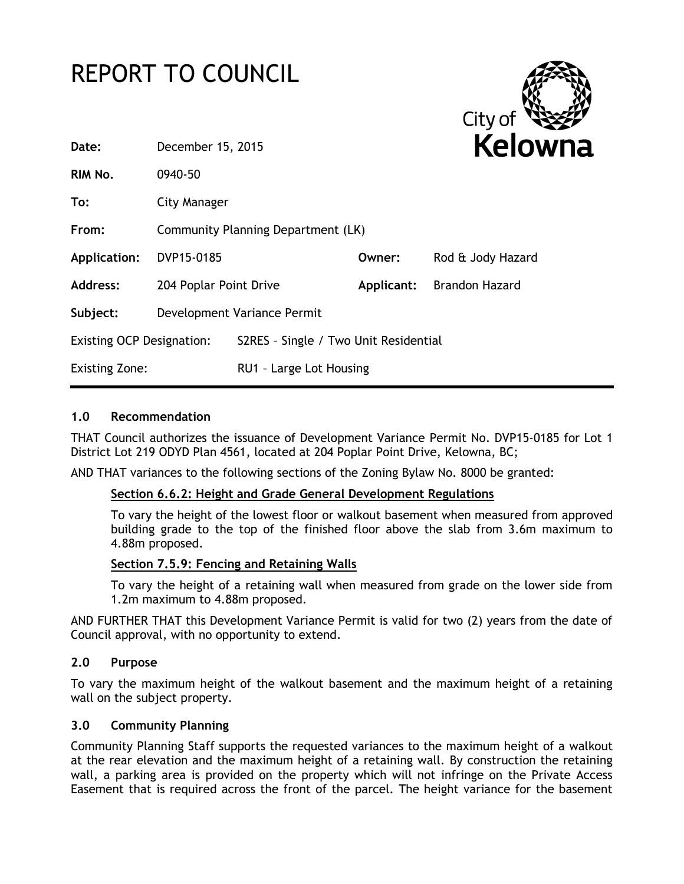# REPORT TO COUNCIL



| Date:                            | December 15, 2015                  |                                       |            | <b>Kelowi</b>     |  |
|----------------------------------|------------------------------------|---------------------------------------|------------|-------------------|--|
| RIM No.                          | 0940-50                            |                                       |            |                   |  |
| To:                              | City Manager                       |                                       |            |                   |  |
| From:                            | Community Planning Department (LK) |                                       |            |                   |  |
| Application:                     | DVP15-0185                         |                                       | Owner:     | Rod & Jody Hazard |  |
| <b>Address:</b>                  | 204 Poplar Point Drive             |                                       | Applicant: | Brandon Hazard    |  |
| Subject:                         | Development Variance Permit        |                                       |            |                   |  |
| <b>Existing OCP Designation:</b> |                                    | S2RES - Single / Two Unit Residential |            |                   |  |
| <b>Existing Zone:</b>            |                                    | RU1 - Large Lot Housing               |            |                   |  |
|                                  |                                    |                                       |            |                   |  |

## **1.0 Recommendation**

THAT Council authorizes the issuance of Development Variance Permit No. DVP15-0185 for Lot 1 District Lot 219 ODYD Plan 4561, located at 204 Poplar Point Drive, Kelowna, BC;

AND THAT variances to the following sections of the Zoning Bylaw No. 8000 be granted:

### **Section 6.6.2: Height and Grade General Development Regulations**

To vary the height of the lowest floor or walkout basement when measured from approved building grade to the top of the finished floor above the slab from 3.6m maximum to 4.88m proposed.

#### **Section 7.5.9: Fencing and Retaining Walls**

To vary the height of a retaining wall when measured from grade on the lower side from 1.2m maximum to 4.88m proposed.

AND FURTHER THAT this Development Variance Permit is valid for two (2) years from the date of Council approval, with no opportunity to extend.

### **2.0 Purpose**

To vary the maximum height of the walkout basement and the maximum height of a retaining wall on the subject property.

#### **3.0 Community Planning**

Community Planning Staff supports the requested variances to the maximum height of a walkout at the rear elevation and the maximum height of a retaining wall. By construction the retaining wall, a parking area is provided on the property which will not infringe on the Private Access Easement that is required across the front of the parcel. The height variance for the basement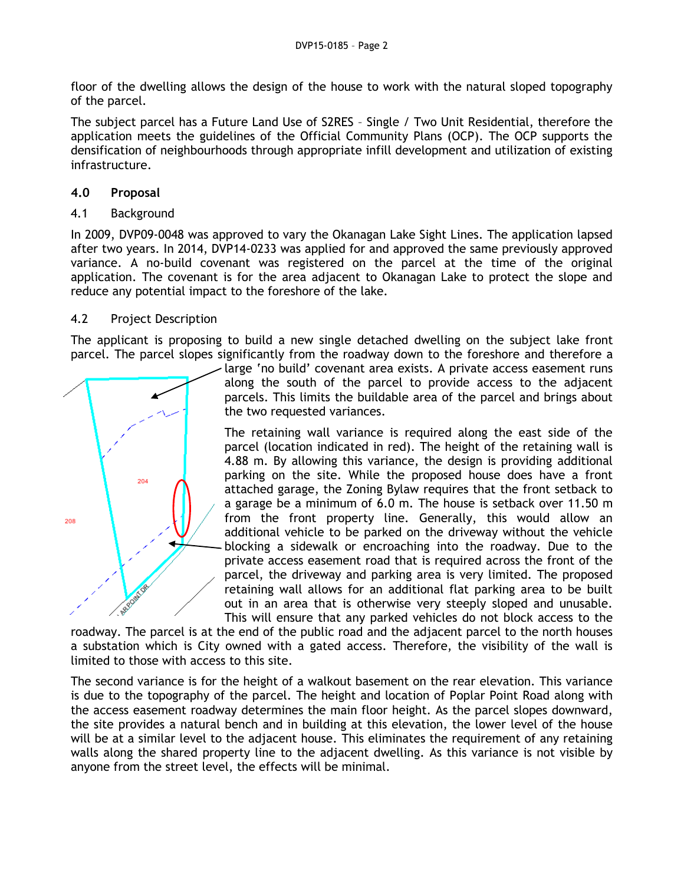floor of the dwelling allows the design of the house to work with the natural sloped topography of the parcel.

The subject parcel has a Future Land Use of S2RES – Single / Two Unit Residential, therefore the application meets the guidelines of the Official Community Plans (OCP). The OCP supports the densification of neighbourhoods through appropriate infill development and utilization of existing infrastructure.

## **4.0 Proposal**

## 4.1 Background

In 2009, DVP09-0048 was approved to vary the Okanagan Lake Sight Lines. The application lapsed after two years. In 2014, DVP14-0233 was applied for and approved the same previously approved variance. A no-build covenant was registered on the parcel at the time of the original application. The covenant is for the area adjacent to Okanagan Lake to protect the slope and reduce any potential impact to the foreshore of the lake.

## 4.2 Project Description

The applicant is proposing to build a new single detached dwelling on the subject lake front parcel. The parcel slopes significantly from the roadway down to the foreshore and therefore a



large 'no build' covenant area exists. A private access easement runs along the south of the parcel to provide access to the adjacent parcels. This limits the buildable area of the parcel and brings about the two requested variances.

The retaining wall variance is required along the east side of the parcel (location indicated in red). The height of the retaining wall is 4.88 m. By allowing this variance, the design is providing additional parking on the site. While the proposed house does have a front attached garage, the Zoning Bylaw requires that the front setback to a garage be a minimum of 6.0 m. The house is setback over 11.50 m from the front property line. Generally, this would allow an additional vehicle to be parked on the driveway without the vehicle blocking a sidewalk or encroaching into the roadway. Due to the private access easement road that is required across the front of the parcel, the driveway and parking area is very limited. The proposed retaining wall allows for an additional flat parking area to be built out in an area that is otherwise very steeply sloped and unusable. This will ensure that any parked vehicles do not block access to the

roadway. The parcel is at the end of the public road and the adjacent parcel to the north houses a substation which is City owned with a gated access. Therefore, the visibility of the wall is limited to those with access to this site.

The second variance is for the height of a walkout basement on the rear elevation. This variance is due to the topography of the parcel. The height and location of Poplar Point Road along with the access easement roadway determines the main floor height. As the parcel slopes downward, the site provides a natural bench and in building at this elevation, the lower level of the house will be at a similar level to the adjacent house. This eliminates the requirement of any retaining walls along the shared property line to the adjacent dwelling. As this variance is not visible by anyone from the street level, the effects will be minimal.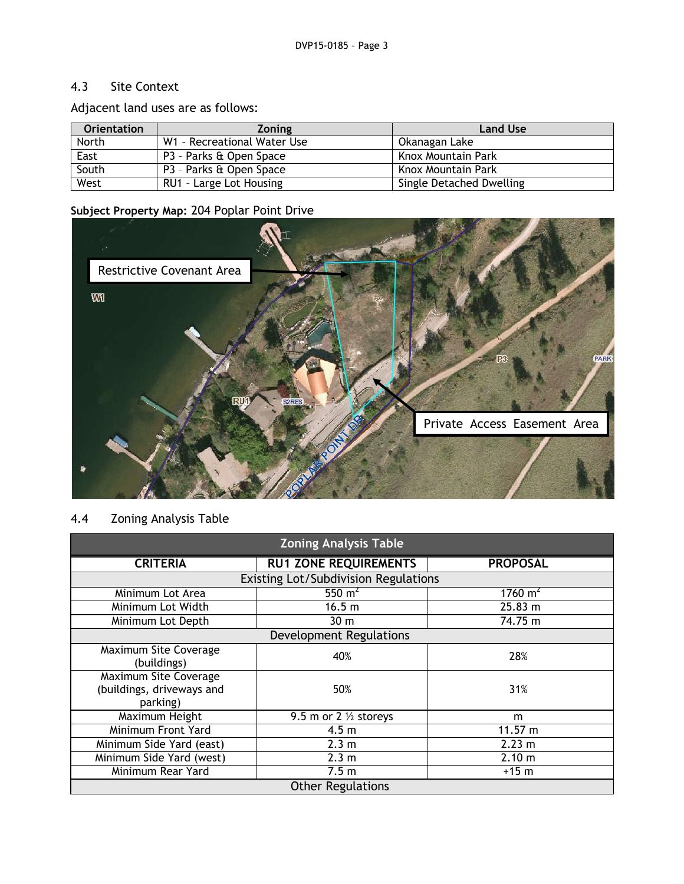# 4.3 Site Context

Adjacent land uses are as follows:

| <b>Orientation</b> | <b>Zoning</b>               | <b>Land Use</b>          |
|--------------------|-----------------------------|--------------------------|
| North              | W1 - Recreational Water Use | Okanagan Lake            |
| East               | P3 - Parks & Open Space     | Knox Mountain Park       |
| South              | P3 - Parks & Open Space     | Knox Mountain Park       |
| West               | RU1 - Large Lot Housing     | Single Detached Dwelling |

# **Subject Property Map:** 204 Poplar Point Drive



# 4.4 Zoning Analysis Table

| <b>Zoning Analysis Table</b>                                   |                                  |                    |  |  |  |
|----------------------------------------------------------------|----------------------------------|--------------------|--|--|--|
| <b>CRITERIA</b>                                                | <b>RU1 ZONE REQUIREMENTS</b>     | <b>PROPOSAL</b>    |  |  |  |
| <b>Existing Lot/Subdivision Regulations</b>                    |                                  |                    |  |  |  |
| Minimum Lot Area                                               | 550 $m2$                         | $1760 \text{ m}^2$ |  |  |  |
| Minimum Lot Width                                              | 16.5 <sub>m</sub>                | 25.83 m            |  |  |  |
| Minimum Lot Depth                                              | 30 <sub>m</sub>                  | 74.75 m            |  |  |  |
| <b>Development Regulations</b>                                 |                                  |                    |  |  |  |
| Maximum Site Coverage<br>(buildings)                           | 40%                              | 28%                |  |  |  |
| Maximum Site Coverage<br>(buildings, driveways and<br>parking) | 50%                              | 31%                |  |  |  |
| Maximum Height                                                 | 9.5 m or 2 $\frac{1}{2}$ storeys | m                  |  |  |  |
| Minimum Front Yard                                             | 4.5 <sub>m</sub>                 | 11.57 m            |  |  |  |
| Minimum Side Yard (east)                                       | 2.3 <sub>m</sub>                 | 2.23 m             |  |  |  |
| Minimum Side Yard (west)                                       | 2.3 m                            | 2.10 m             |  |  |  |
| Minimum Rear Yard                                              | 7.5 <sub>m</sub>                 | $+15$ m            |  |  |  |
| <b>Other Regulations</b>                                       |                                  |                    |  |  |  |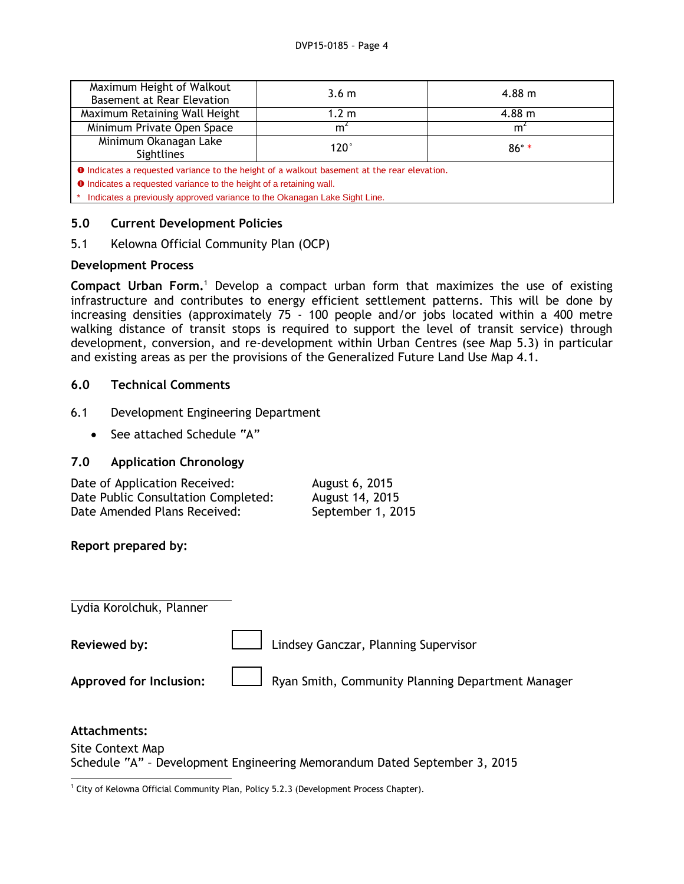| Maximum Height of Walkout<br>Basement at Rear Elevation                                            | 3.6 <sub>m</sub> | $4.88 \; \mathrm{m}$ |  |  |  |
|----------------------------------------------------------------------------------------------------|------------------|----------------------|--|--|--|
| Maximum Retaining Wall Height                                                                      | 1.2 m            | $4.88 \;{\rm m}$     |  |  |  |
| Minimum Private Open Space                                                                         | m <sup>2</sup>   | m <sup>2</sup>       |  |  |  |
| Minimum Okanagan Lake<br><b>Sightlines</b>                                                         | $120^\circ$      | $86^\circ$ *         |  |  |  |
| <b>O</b> Indicates a requested variance to the height of a walkout basement at the rear elevation. |                  |                      |  |  |  |
| <b>O</b> Indicates a requested variance to the height of a retaining wall.                         |                  |                      |  |  |  |
| Indicates a previously approved variance to the Okanagan Lake Sight Line.                          |                  |                      |  |  |  |

## **5.0 Current Development Policies**

5.1 Kelowna Official Community Plan (OCP)

## **Development Process**

**Compact Urban Form.**<sup>1</sup> Develop a compact urban form that maximizes the use of existing infrastructure and contributes to energy efficient settlement patterns. This will be done by increasing densities (approximately 75 - 100 people and/or jobs located within a 400 metre walking distance of transit stops is required to support the level of transit service) through development, conversion, and re-development within Urban Centres (see Map 5.3) in particular and existing areas as per the provisions of the Generalized Future Land Use Map 4.1.

## **6.0 Technical Comments**

- 6.1 Development Engineering Department
	- See attached Schedule "A"

## **7.0 Application Chronology**

| Date of Application Received:       | August 6, 2015    |
|-------------------------------------|-------------------|
| Date Public Consultation Completed: | August 14, 2015   |
| Date Amended Plans Received:        | September 1, 2015 |

**Report prepared by:**

Lydia Korolchuk, Planner **Reviewed by: Lindsey Ganczar, Planning Supervisor Approved for Inclusion:** Ryan Smith, Community Planning Department Manager

## **Attachments:**

Site Context Map Schedule "A" – Development Engineering Memorandum Dated September 3, 2015

<sup>-</sup> $1$  City of Kelowna Official Community Plan, Policy 5.2.3 (Development Process Chapter).